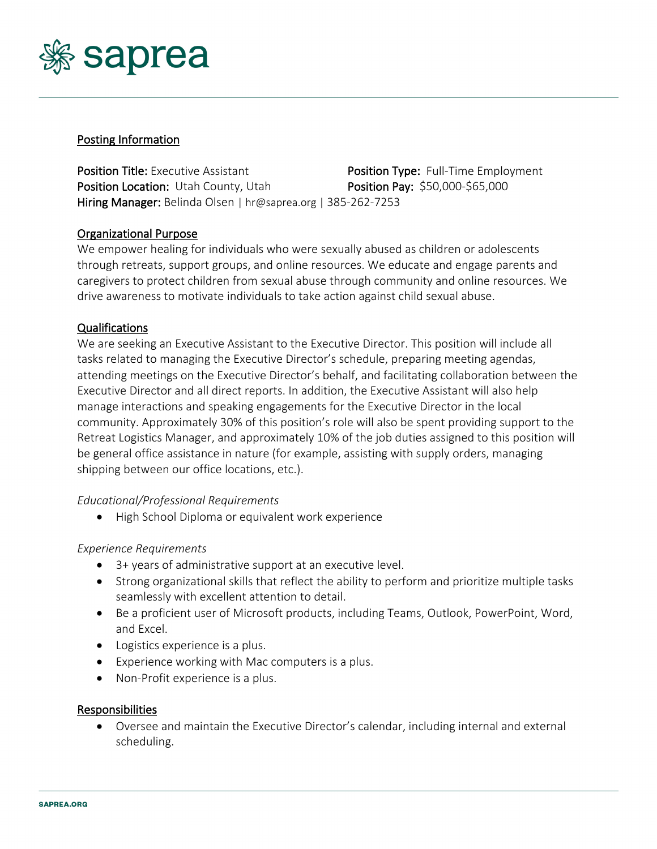

# Posting Information

Position Title: Executive Assistant **Position Type:** Full-Time Employment Position Location: Utah County, Utah **Position Pay: \$50,000-\$65,000** Hiring Manager: Belinda Olsen | hr@saprea.org | 385-262-7253

# Organizational Purpose

We empower healing for individuals who were sexually abused as children or adolescents through retreats, support groups, and online resources. We educate and engage parents and caregivers to protect children from sexual abuse through community and online resources. We drive awareness to motivate individuals to take action against child sexual abuse.

## Qualifications

We are seeking an Executive Assistant to the Executive Director. This position will include all tasks related to managing the Executive Director's schedule, preparing meeting agendas, attending meetings on the Executive Director's behalf, and facilitating collaboration between the Executive Director and all direct reports. In addition, the Executive Assistant will also help manage interactions and speaking engagements for the Executive Director in the local community. Approximately 30% of this position's role will also be spent providing support to the Retreat Logistics Manager, and approximately 10% of the job duties assigned to this position will be general office assistance in nature (for example, assisting with supply orders, managing shipping between our office locations, etc.).

### *Educational/Professional Requirements*

• High School Diploma or equivalent work experience

### *Experience Requirements*

- 3+ years of administrative support at an executive level.
- Strong organizational skills that reflect the ability to perform and prioritize multiple tasks seamlessly with excellent attention to detail.
- Be a proficient user of Microsoft products, including Teams, Outlook, PowerPoint, Word, and Excel.
- Logistics experience is a plus.
- Experience working with Mac computers is a plus.
- Non-Profit experience is a plus.

### Responsibilities

• Oversee and maintain the Executive Director's calendar, including internal and external scheduling.